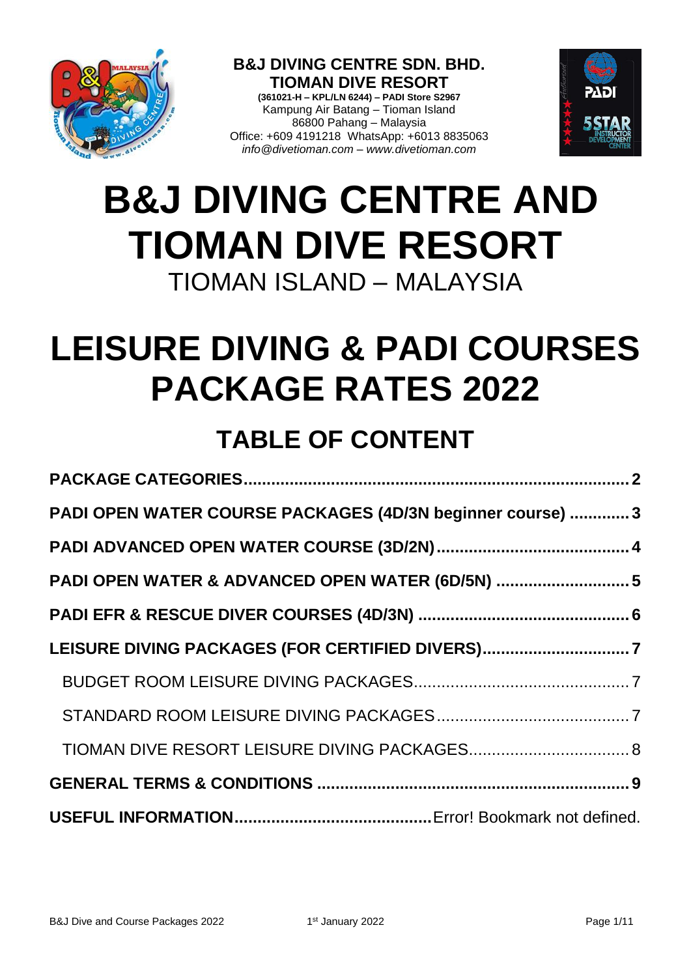

**B&J DIVING CENTRE SDN. BHD. TIOMAN DIVE RESORT (361021-H – KPL/LN 6244) – PADI Store S2967** Kampung Air Batang – Tioman Island 86800 Pahang – Malaysia Office: +609 4191218 WhatsApp: +6013 8835063 *info@divetioman.com – www.divetioman.com*



# **B&J DIVING CENTRE AND TIOMAN DIVE RESORT** TIOMAN ISLAND – MALAYSIA

# **LEISURE DIVING & PADI COURSES PACKAGE RATES 2022**

## **TABLE OF CONTENT**

| PADI OPEN WATER COURSE PACKAGES (4D/3N beginner course)  3 |
|------------------------------------------------------------|
|                                                            |
| PADI OPEN WATER & ADVANCED OPEN WATER (6D/5N) 5            |
|                                                            |
| LEISURE DIVING PACKAGES (FOR CERTIFIED DIVERS)7            |
|                                                            |
|                                                            |
|                                                            |
|                                                            |
|                                                            |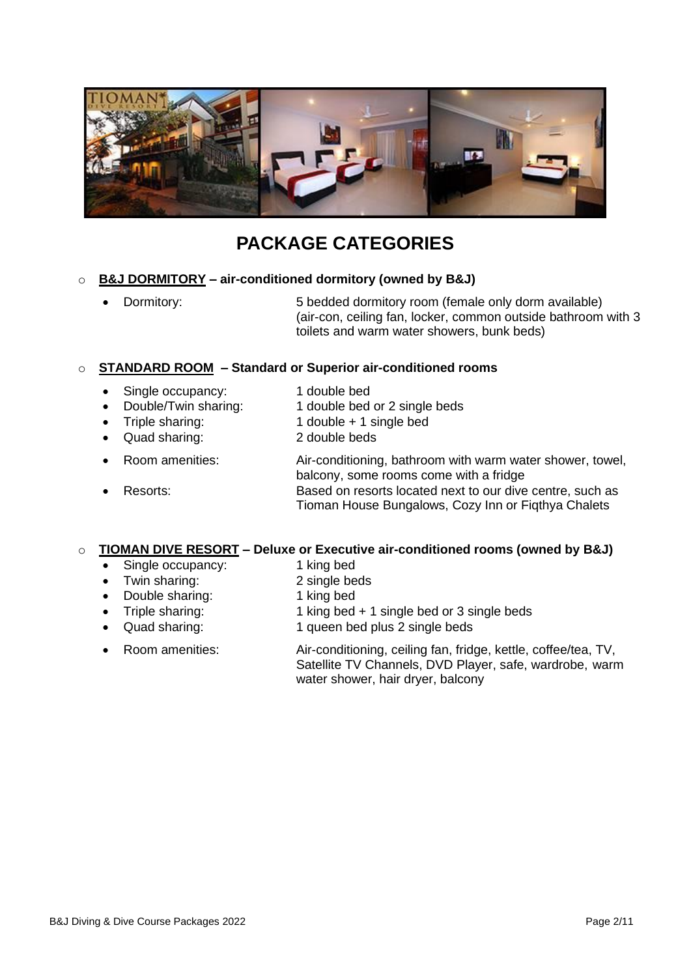

## **PACKAGE CATEGORIES**

#### <span id="page-1-0"></span>o **B&J DORMITORY – air-conditioned dormitory (owned by B&J)**

• Dormitory: 5 bedded dormitory room (female only dorm available) (air-con, ceiling fan, locker, common outside bathroom with 3 toilets and warm water showers, bunk beds)

#### o **STANDARD ROOM – Standard or Superior air-conditioned rooms**

- Single occupancy: 1 double bed
- 
- 
- 
- 
- 
- 
- Double/Twin sharing: 1 double bed or 2 single beds
- Triple sharing: 1 double + 1 single bed
- Quad sharing: 2 double beds
- Room amenities: Air-conditioning, bathroom with warm water shower, towel, balcony, some rooms come with a fridge • Resorts: Based on resorts located next to our dive centre, such as Tioman House Bungalows, Cozy Inn or Fiqthya Chalets

#### o **TIOMAN DIVE RESORT – Deluxe or Executive air-conditioned rooms (owned by B&J)**

- Single occupancy: 1 king bed
- Twin sharing: 2 single beds
- Double sharing: 1 king bed
- Triple sharing: 1 king bed + 1 single bed or 3 single beds
- 
- Quad sharing: 1 queen bed plus 2 single beds
- Room amenities: Air-conditioning, ceiling fan, fridge, kettle, coffee/tea, TV, Satellite TV Channels, DVD Player, safe, wardrobe, warm water shower, hair dryer, balcony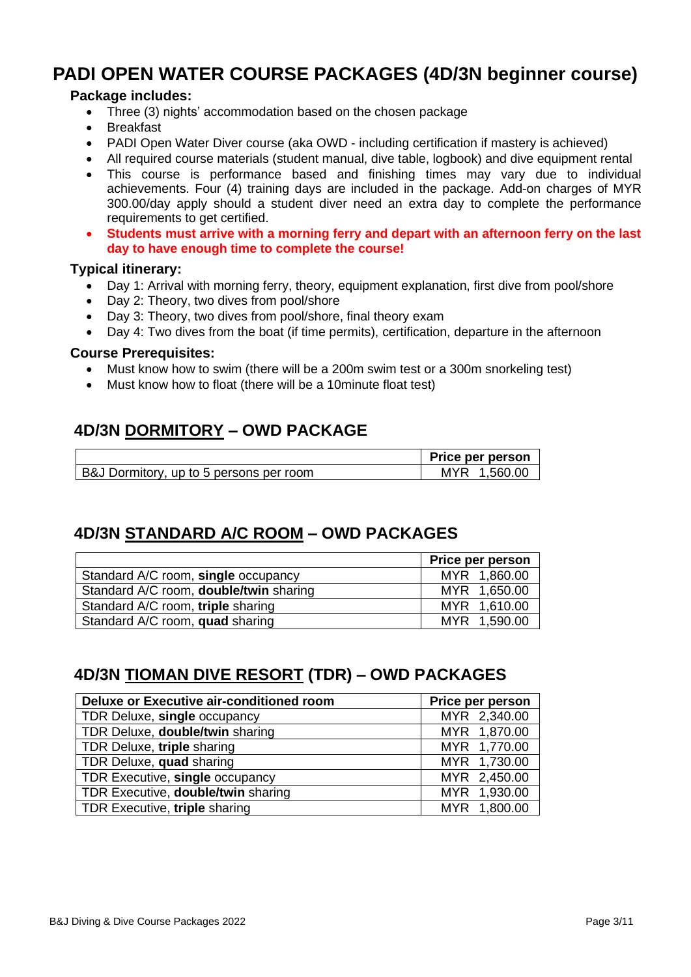## <span id="page-2-0"></span>**PADI OPEN WATER COURSE PACKAGES (4D/3N beginner course)**

#### **Package includes:**

- Three (3) nights' accommodation based on the chosen package
- Breakfast
- PADI Open Water Diver course (aka OWD including certification if mastery is achieved)
- All required course materials (student manual, dive table, logbook) and dive equipment rental
- This course is performance based and finishing times may vary due to individual achievements. Four (4) training days are included in the package. Add-on charges of MYR 300.00/day apply should a student diver need an extra day to complete the performance requirements to get certified.
- **Students must arrive with a morning ferry and depart with an afternoon ferry on the last day to have enough time to complete the course!**

#### **Typical itinerary:**

- Day 1: Arrival with morning ferry, theory, equipment explanation, first dive from pool/shore
- Day 2: Theory, two dives from pool/shore
- Day 3: Theory, two dives from pool/shore, final theory exam
- Day 4: Two dives from the boat (if time permits), certification, departure in the afternoon

#### **Course Prerequisites:**

- Must know how to swim (there will be a 200m swim test or a 300m snorkeling test)
- Must know how to float (there will be a 10minute float test)

## **4D/3N DORMITORY – OWD PACKAGE**

|                                         | <b>Price per person</b> |
|-----------------------------------------|-------------------------|
| B&J Dormitory, up to 5 persons per room | MYR 1.560.00            |

## **4D/3N STANDARD A/C ROOM – OWD PACKAGES**

|                                               | Price per person |
|-----------------------------------------------|------------------|
| Standard A/C room, single occupancy           | MYR 1,860.00     |
| Standard A/C room, <b>double/twin</b> sharing | MYR 1,650.00     |
| Standard A/C room, triple sharing             | MYR 1,610.00     |
| Standard A/C room, quad sharing               | MYR 1,590.00     |

## **4D/3N TIOMAN DIVE RESORT (TDR) – OWD PACKAGES**

| Deluxe or Executive air-conditioned room | Price per person |
|------------------------------------------|------------------|
| TDR Deluxe, single occupancy             | MYR 2,340.00     |
| TDR Deluxe, double/twin sharing          | MYR 1,870.00     |
| TDR Deluxe, triple sharing               | MYR 1,770.00     |
| TDR Deluxe, quad sharing                 | MYR 1,730.00     |
| TDR Executive, single occupancy          | MYR 2,450.00     |
| TDR Executive, double/twin sharing       | MYR 1,930.00     |
| TDR Executive, triple sharing            | MYR 1,800.00     |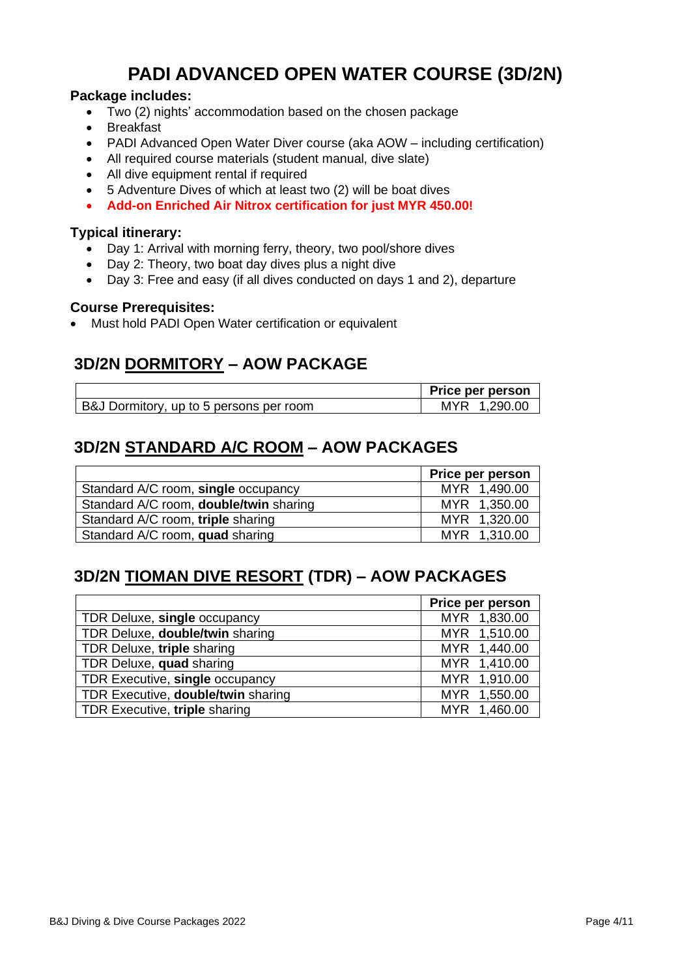## **PADI ADVANCED OPEN WATER COURSE (3D/2N)**

#### <span id="page-3-0"></span>**Package includes:**

- Two (2) nights' accommodation based on the chosen package
- Breakfast
- PADI Advanced Open Water Diver course (aka AOW including certification)
- All required course materials (student manual, dive slate)
- All dive equipment rental if required
- 5 Adventure Dives of which at least two (2) will be boat dives
- **Add-on Enriched Air Nitrox certification for just MYR 450.00!**

#### **Typical itinerary:**

- Day 1: Arrival with morning ferry, theory, two pool/shore dives
- Day 2: Theory, two boat day dives plus a night dive
- Day 3: Free and easy (if all dives conducted on days 1 and 2), departure

#### **Course Prerequisites:**

• Must hold PADI Open Water certification or equivalent

## **3D/2N DORMITORY – AOW PACKAGE**

|                                         | Price per person |
|-----------------------------------------|------------------|
| B&J Dormitory, up to 5 persons per room | MYR 1.290.00     |

## **3D/2N STANDARD A/C ROOM – AOW PACKAGES**

|                                               | Price per person |
|-----------------------------------------------|------------------|
| Standard A/C room, single occupancy           | MYR 1,490.00     |
| Standard A/C room, <b>double/twin</b> sharing | MYR 1,350.00     |
| Standard A/C room, triple sharing             | MYR 1,320.00     |
| Standard A/C room, quad sharing               | MYR 1,310.00     |

## **3D/2N TIOMAN DIVE RESORT (TDR) – AOW PACKAGES**

|                                           | Price per person |
|-------------------------------------------|------------------|
| TDR Deluxe, single occupancy              | MYR 1,830.00     |
| TDR Deluxe, double/twin sharing           | MYR 1,510.00     |
| TDR Deluxe, triple sharing                | MYR 1,440.00     |
| TDR Deluxe, quad sharing                  | MYR 1,410.00     |
| TDR Executive, single occupancy           | MYR 1,910.00     |
| TDR Executive, <b>double/twin</b> sharing | MYR 1,550.00     |
| TDR Executive, triple sharing             | MYR 1,460.00     |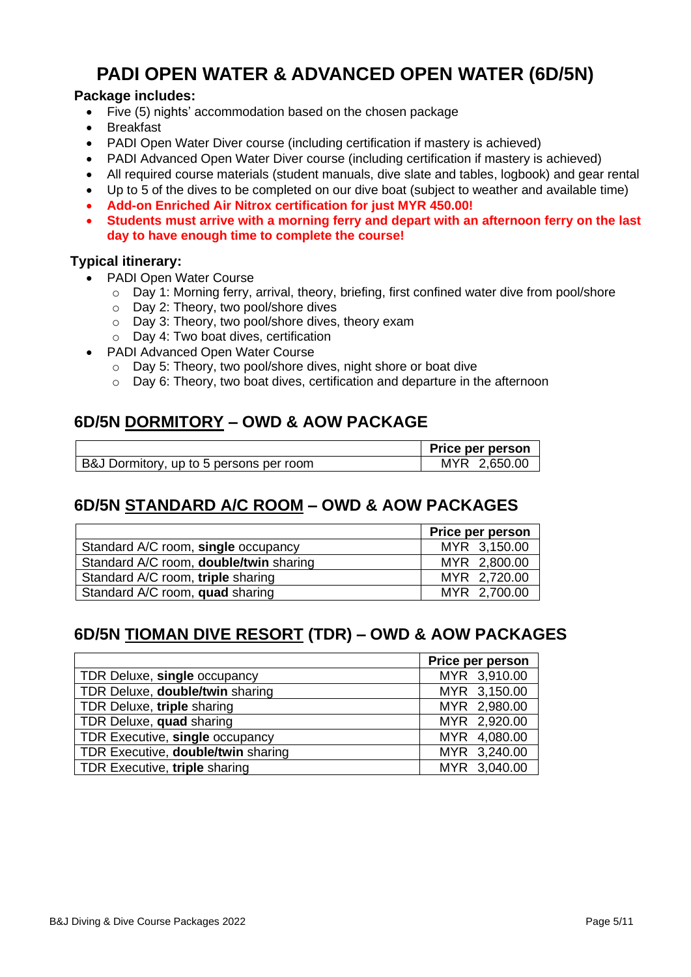## **PADI OPEN WATER & ADVANCED OPEN WATER (6D/5N)**

#### <span id="page-4-0"></span>**Package includes:**

- Five (5) nights' accommodation based on the chosen package
- Breakfast
- PADI Open Water Diver course (including certification if mastery is achieved)
- PADI Advanced Open Water Diver course (including certification if mastery is achieved)
- All required course materials (student manuals, dive slate and tables, logbook) and gear rental
- Up to 5 of the dives to be completed on our dive boat (subject to weather and available time)
- **Add-on Enriched Air Nitrox certification for just MYR 450.00!**
- **Students must arrive with a morning ferry and depart with an afternoon ferry on the last day to have enough time to complete the course!**

#### **Typical itinerary:**

- PADI Open Water Course
	- $\circ$  Day 1: Morning ferry, arrival, theory, briefing, first confined water dive from pool/shore
	- o Day 2: Theory, two pool/shore dives
	- o Day 3: Theory, two pool/shore dives, theory exam
	- o Day 4: Two boat dives, certification
- PADI Advanced Open Water Course
	- o Day 5: Theory, two pool/shore dives, night shore or boat dive
	- o Day 6: Theory, two boat dives, certification and departure in the afternoon

## **6D/5N DORMITORY – OWD & AOW PACKAGE**

|                                         | Price per person |
|-----------------------------------------|------------------|
| B&J Dormitory, up to 5 persons per room | MYR 2,650.00     |

#### **6D/5N STANDARD A/C ROOM – OWD & AOW PACKAGES**

|                                               | Price per person |
|-----------------------------------------------|------------------|
| Standard A/C room, single occupancy           | MYR 3,150.00     |
| Standard A/C room, <b>double/twin</b> sharing | MYR 2,800.00     |
| Standard A/C room, triple sharing             | MYR 2,720.00     |
| Standard A/C room, quad sharing               | MYR 2,700.00     |

## **6D/5N TIOMAN DIVE RESORT (TDR) – OWD & AOW PACKAGES**

|                                    | Price per person |
|------------------------------------|------------------|
| TDR Deluxe, single occupancy       | MYR 3,910.00     |
| TDR Deluxe, double/twin sharing    | MYR 3,150.00     |
| TDR Deluxe, triple sharing         | MYR 2,980.00     |
| TDR Deluxe, quad sharing           | MYR 2,920.00     |
| TDR Executive, single occupancy    | MYR 4,080.00     |
| TDR Executive, double/twin sharing | MYR 3,240.00     |
| TDR Executive, triple sharing      | MYR 3,040.00     |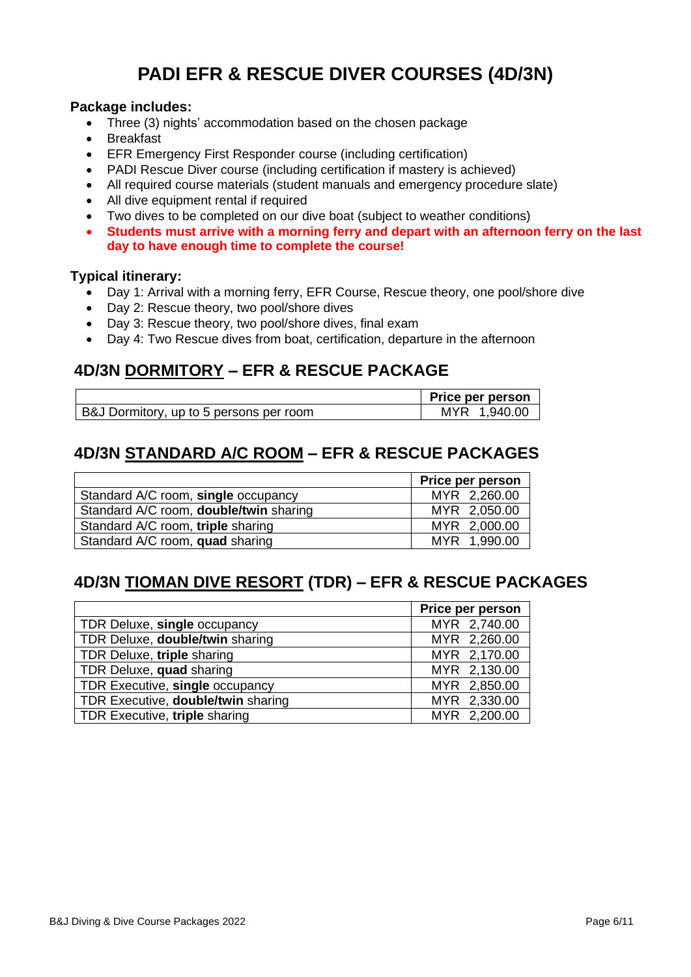## **PADI EFR & RESCUE DIVER COURSES (4D/3N)**

#### <span id="page-5-0"></span>**Package includes:**

- Three (3) nights' accommodation based on the chosen package
- Breakfast
- EFR Emergency First Responder course (including certification)
- PADI Rescue Diver course (including certification if mastery is achieved)
- All required course materials (student manuals and emergency procedure slate)
- All dive equipment rental if required
- Two dives to be completed on our dive boat (subject to weather conditions)
- **Students must arrive with a morning ferry and depart with an afternoon ferry on the last day to have enough time to complete the course!**

#### **Typical itinerary:**

- Day 1: Arrival with a morning ferry, EFR Course, Rescue theory, one pool/shore dive
- Day 2: Rescue theory, two pool/shore dives
- Day 3: Rescue theory, two pool/shore dives, final exam
- Day 4: Two Rescue dives from boat, certification, departure in the afternoon

## **4D/3N DORMITORY – EFR & RESCUE PACKAGE**

|                                         | Price per person |
|-----------------------------------------|------------------|
| B&J Dormitory, up to 5 persons per room | MYR 1.940.00     |

## **4D/3N STANDARD A/C ROOM – EFR & RESCUE PACKAGES**

|                                               | Price per person |
|-----------------------------------------------|------------------|
| Standard A/C room, single occupancy           | MYR 2,260.00     |
| Standard A/C room, <b>double/twin</b> sharing | MYR 2,050.00     |
| Standard A/C room, triple sharing             | MYR 2,000.00     |
| Standard A/C room, quad sharing               | MYR 1,990.00     |

## **4D/3N TIOMAN DIVE RESORT (TDR) – EFR & RESCUE PACKAGES**

|                                    | Price per person |
|------------------------------------|------------------|
| TDR Deluxe, single occupancy       | MYR 2,740.00     |
| TDR Deluxe, double/twin sharing    | MYR 2,260.00     |
| TDR Deluxe, triple sharing         | MYR 2,170.00     |
| TDR Deluxe, quad sharing           | MYR 2,130.00     |
| TDR Executive, single occupancy    | MYR 2,850.00     |
| TDR Executive, double/twin sharing | MYR 2,330.00     |
| TDR Executive, triple sharing      | MYR 2,200.00     |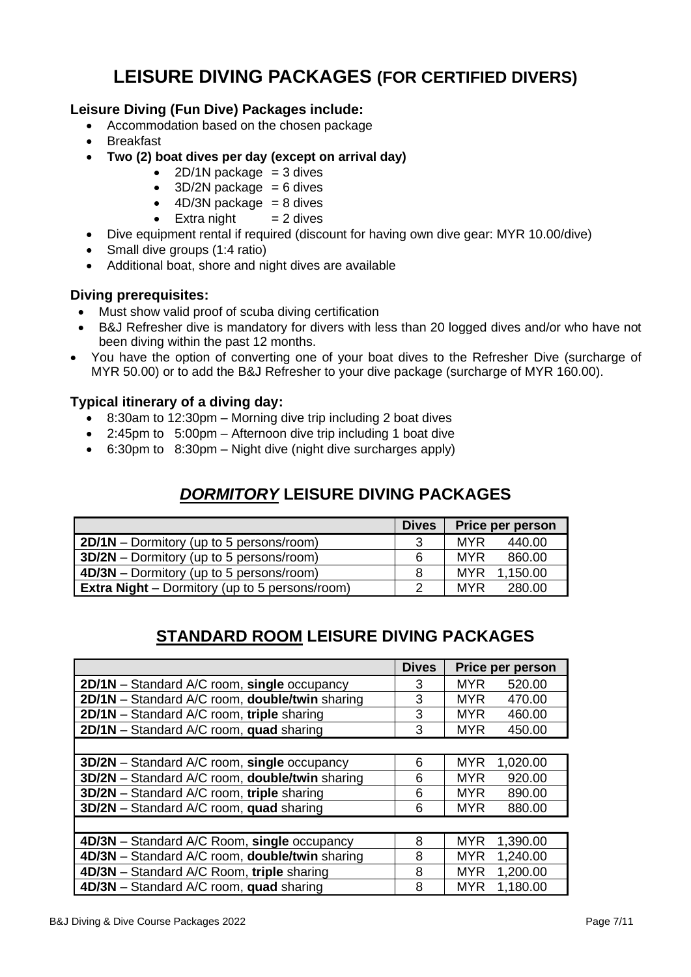## **LEISURE DIVING PACKAGES (FOR CERTIFIED DIVERS)**

#### <span id="page-6-0"></span>**Leisure Diving (Fun Dive) Packages include:**

- Accommodation based on the chosen package
- Breakfast
- **Two (2) boat dives per day (except on arrival day)**
	- 2D/1N package  $=$  3 dives
	- $\bullet$  3D/2N package = 6 dives
	- $\bullet$  4D/3N package = 8 dives
	- Extra night  $= 2$  dives
- Dive equipment rental if required (discount for having own dive gear: MYR 10.00/dive)
- Small dive groups (1:4 ratio)
- Additional boat, shore and night dives are available

#### **Diving prerequisites:**

- Must show valid proof of scuba diving certification
- B&J Refresher dive is mandatory for divers with less than 20 logged dives and/or who have not been diving within the past 12 months.
- You have the option of converting one of your boat dives to the Refresher Dive (surcharge of MYR 50.00) or to add the B&J Refresher to your dive package (surcharge of MYR 160.00).

#### **Typical itinerary of a diving day:**

- 8:30am to 12:30pm Morning dive trip including 2 boat dives
- 2:45pm to 5:00pm Afternoon dive trip including 1 boat dive
- <span id="page-6-1"></span>• 6:30pm to 8:30pm – Night dive (night dive surcharges apply)

## *DORMITORY* **LEISURE DIVING PACKAGES**

|                                                       | <b>Dives</b> | Price per person     |
|-------------------------------------------------------|--------------|----------------------|
| 2D/1N – Dormitory (up to 5 persons/room)              | 3            | <b>MYR</b><br>440.00 |
| 3D/2N - Dormitory (up to 5 persons/room)              | 6            | MYR<br>860.00        |
| $4D/3N$ – Dormitory (up to 5 persons/room)            | 8            | MYR.<br>1.150.00     |
| <b>Extra Night</b> – Dormitory (up to 5 persons/room) | ာ            | <b>MYR</b><br>280.00 |

## **STANDARD ROOM LEISURE DIVING PACKAGES**

<span id="page-6-2"></span>

|                                                    | <b>Dives</b> | Price per person       |  |
|----------------------------------------------------|--------------|------------------------|--|
| 2D/1N - Standard A/C room, single occupancy        | 3            | <b>MYR</b><br>520.00   |  |
| 2D/1N - Standard A/C room, double/twin sharing     | 3            | 470.00<br><b>MYR</b>   |  |
| $2D/1N$ – Standard A/C room, triple sharing        | 3            | 460.00<br><b>MYR</b>   |  |
| $2D/1N$ – Standard A/C room, quad sharing          | 3            | <b>MYR</b><br>450.00   |  |
|                                                    |              |                        |  |
| <b>3D/2N</b> – Standard A/C room, single occupancy | 6            | <b>MYR</b><br>1,020.00 |  |
| 3D/2N - Standard A/C room, double/twin sharing     | 6            | 920.00<br><b>MYR</b>   |  |
| 3D/2N - Standard A/C room, triple sharing          | 6            | <b>MYR</b><br>890.00   |  |
| 3D/2N - Standard A/C room, quad sharing            | 6            | <b>MYR</b><br>880.00   |  |
|                                                    |              |                        |  |
| 4D/3N - Standard A/C Room, single occupancy        | 8            | <b>MYR</b><br>1,390.00 |  |
| 4D/3N - Standard A/C room, double/twin sharing     | 8            | 1,240.00<br><b>MYR</b> |  |
| 4D/3N - Standard A/C Room, triple sharing          | 8            | <b>MYR</b><br>1,200.00 |  |
| 4D/3N - Standard A/C room, quad sharing            | 8            | 1,180.00<br><b>MYR</b> |  |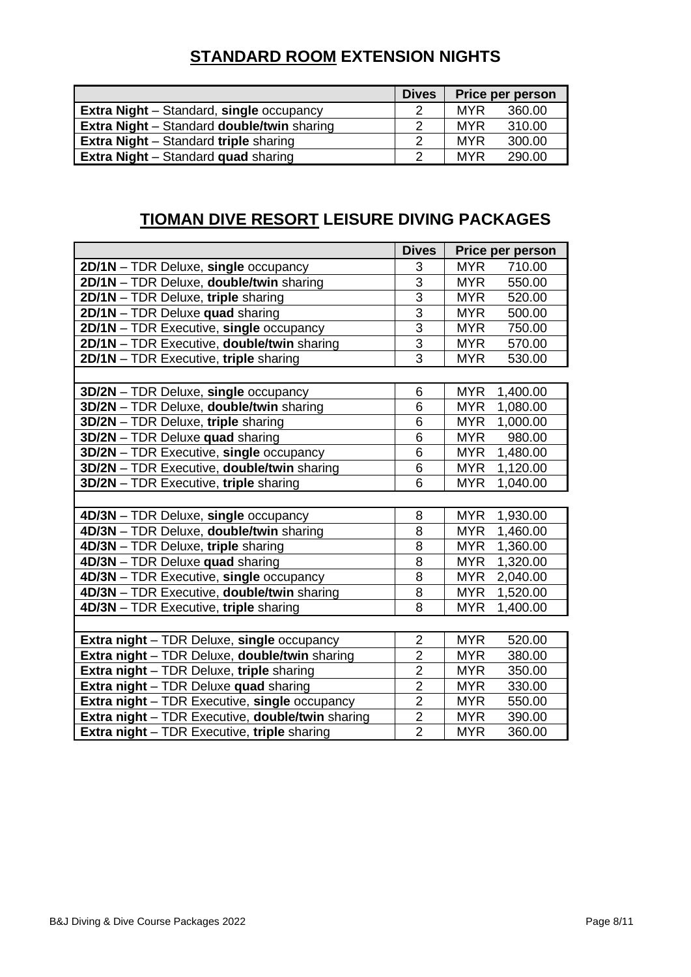## **STANDARD ROOM EXTENSION NIGHTS**

|                                                          | <b>Dives</b> |            | <b>Price per person</b> |
|----------------------------------------------------------|--------------|------------|-------------------------|
| <b>Extra Night</b> – Standard, single occupancy          | っ            | MYR        | 360.00                  |
| <b>Extra Night</b> – Standard <b>double/twin</b> sharing | 2            | <b>MYR</b> | 310.00                  |
| <b>Extra Night</b> – Standard <b>triple</b> sharing      | າ            | <b>MYR</b> | 300.00                  |
| <b>Extra Night</b> – Standard <b>quad</b> sharing        | າ            | <b>MYR</b> | 290.00                  |

## **TIOMAN DIVE RESORT LEISURE DIVING PACKAGES**

<span id="page-7-0"></span>

|                                                                | <b>Dives</b>   | Price per person       |
|----------------------------------------------------------------|----------------|------------------------|
| 2D/1N - TDR Deluxe, single occupancy                           | 3              | <b>MYR</b><br>710.00   |
| 2D/1N - TDR Deluxe, double/twin sharing                        | $\overline{3}$ | <b>MYR</b><br>550.00   |
| 2D/1N - TDR Deluxe, triple sharing                             | $\overline{3}$ | <b>MYR</b><br>520.00   |
| 2D/1N - TDR Deluxe quad sharing                                | 3              | 500.00<br><b>MYR</b>   |
| 2D/1N - TDR Executive, single occupancy                        | $\overline{3}$ | <b>MYR</b><br>750.00   |
| 2D/1N - TDR Executive, double/twin sharing                     | $\overline{3}$ | <b>MYR</b><br>570.00   |
| 2D/1N - TDR Executive, triple sharing                          | $\overline{3}$ | <b>MYR</b><br>530.00   |
|                                                                |                |                        |
| 3D/2N - TDR Deluxe, single occupancy                           | 6              | <b>MYR</b><br>1,400.00 |
| 3D/2N - TDR Deluxe, double/twin sharing                        | 6              | <b>MYR</b><br>1,080.00 |
| 3D/2N - TDR Deluxe, triple sharing                             | 6              | <b>MYR</b><br>1,000.00 |
| 3D/2N - TDR Deluxe quad sharing                                | 6              | <b>MYR</b><br>980.00   |
| 3D/2N - TDR Executive, single occupancy                        | 6              | <b>MYR</b><br>1,480.00 |
| 3D/2N - TDR Executive, double/twin sharing                     | 6              | <b>MYR</b><br>1,120.00 |
| 3D/2N - TDR Executive, triple sharing                          | $\overline{6}$ | <b>MYR</b><br>1,040.00 |
|                                                                |                |                        |
| 4D/3N - TDR Deluxe, single occupancy                           | 8              | <b>MYR</b><br>1,930.00 |
| 4D/3N - TDR Deluxe, double/twin sharing                        | 8              | <b>MYR</b><br>1,460.00 |
| 4D/3N - TDR Deluxe, triple sharing                             | 8              | 1,360.00<br><b>MYR</b> |
| 4D/3N - TDR Deluxe quad sharing                                | 8              | 1,320.00<br><b>MYR</b> |
| 4D/3N - TDR Executive, single occupancy                        | 8              | <b>MYR</b><br>2,040.00 |
| 4D/3N - TDR Executive, double/twin sharing                     | 8              | 1,520.00<br><b>MYR</b> |
| 4D/3N - TDR Executive, triple sharing                          | 8              | 1,400.00<br><b>MYR</b> |
|                                                                |                |                        |
| Extra night - TDR Deluxe, single occupancy                     | $\overline{2}$ | <b>MYR</b><br>520.00   |
| Extra night - TDR Deluxe, double/twin sharing                  | $\overline{c}$ | <b>MYR</b><br>380.00   |
| <b>Extra night</b> - TDR Deluxe, triple sharing                | $\overline{2}$ | <b>MYR</b><br>350.00   |
| Extra night - TDR Deluxe quad sharing                          | $\overline{2}$ | 330.00<br><b>MYR</b>   |
| Extra night - TDR Executive, single occupancy                  | $\overline{2}$ | <b>MYR</b><br>550.00   |
| <b>Extra night</b> – TDR Executive, <b>double/twin</b> sharing | $\overline{c}$ | <b>MYR</b><br>390.00   |
| <b>Extra night</b> - TDR Executive, triple sharing             | $\overline{2}$ | <b>MYR</b><br>360.00   |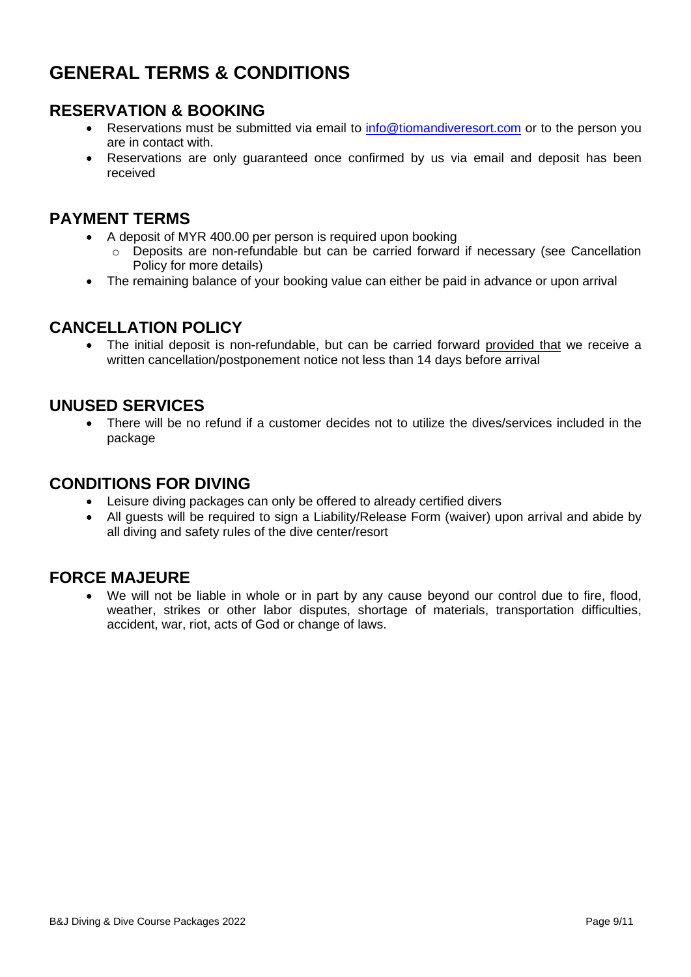## <span id="page-8-0"></span>**GENERAL TERMS & CONDITIONS**

## **RESERVATION & BOOKING**

- Reservations must be submitted via email to [info@tiomandiveresort.com](mailto:info@tiomandiveresort.com) or to the person you are in contact with.
- Reservations are only guaranteed once confirmed by us via email and deposit has been received

#### **PAYMENT TERMS**

- A deposit of MYR 400.00 per person is required upon booking
	- $\circ$  Deposits are non-refundable but can be carried forward if necessary (see Cancellation Policy for more details)
- The remaining balance of your booking value can either be paid in advance or upon arrival

#### **CANCELLATION POLICY**

• The initial deposit is non-refundable, but can be carried forward provided that we receive a written cancellation/postponement notice not less than 14 days before arrival

#### **UNUSED SERVICES**

• There will be no refund if a customer decides not to utilize the dives/services included in the package

#### **CONDITIONS FOR DIVING**

- Leisure diving packages can only be offered to already certified divers
- All guests will be required to sign a Liability/Release Form (waiver) upon arrival and abide by all diving and safety rules of the dive center/resort

#### **FORCE MAJEURE**

We will not be liable in whole or in part by any cause beyond our control due to fire, flood, weather, strikes or other labor disputes, shortage of materials, transportation difficulties, accident, war, riot, acts of God or change of laws.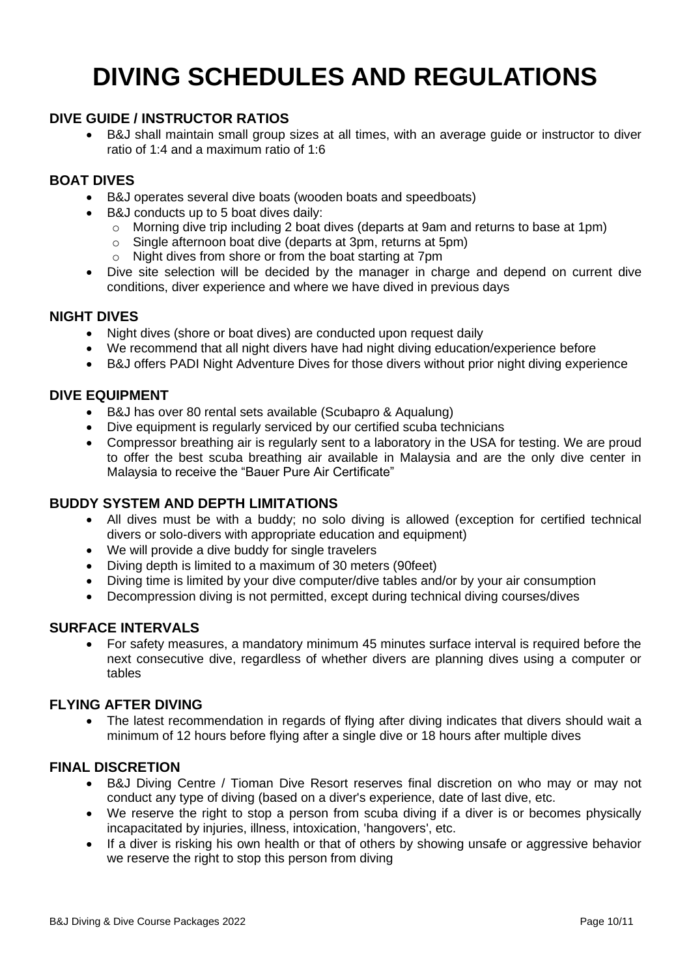## **DIVING SCHEDULES AND REGULATIONS**

#### **DIVE GUIDE / INSTRUCTOR RATIOS**

• B&J shall maintain small group sizes at all times, with an average guide or instructor to diver ratio of 1:4 and a maximum ratio of 1:6

#### **BOAT DIVES**

- B&J operates several dive boats (wooden boats and speedboats)
- B&J conducts up to 5 boat dives daily:
	- o Morning dive trip including 2 boat dives (departs at 9am and returns to base at 1pm)
	- o Single afternoon boat dive (departs at 3pm, returns at 5pm)
	- o Night dives from shore or from the boat starting at 7pm
- Dive site selection will be decided by the manager in charge and depend on current dive conditions, diver experience and where we have dived in previous days

#### **NIGHT DIVES**

- Night dives (shore or boat dives) are conducted upon request daily
- We recommend that all night divers have had night diving education/experience before
- B&J offers PADI Night Adventure Dives for those divers without prior night diving experience

#### **DIVE EQUIPMENT**

- B&J has over 80 rental sets available (Scubapro & Aqualung)
- Dive equipment is regularly serviced by our certified scuba technicians
- Compressor breathing air is regularly sent to a laboratory in the USA for testing. We are proud to offer the best scuba breathing air available in Malaysia and are the only dive center in Malaysia to receive the "Bauer Pure Air Certificate"

#### **BUDDY SYSTEM AND DEPTH LIMITATIONS**

- All dives must be with a buddy; no solo diving is allowed (exception for certified technical divers or solo-divers with appropriate education and equipment)
- We will provide a dive buddy for single travelers
- Diving depth is limited to a maximum of 30 meters (90feet)
- Diving time is limited by your dive computer/dive tables and/or by your air consumption
- Decompression diving is not permitted, except during technical diving courses/dives

#### **SURFACE INTERVALS**

• For safety measures, a mandatory minimum 45 minutes surface interval is required before the next consecutive dive, regardless of whether divers are planning dives using a computer or tables

#### **FLYING AFTER DIVING**

• The latest recommendation in regards of flying after diving indicates that divers should wait a minimum of 12 hours before flying after a single dive or 18 hours after multiple dives

#### **FINAL DISCRETION**

- B&J Diving Centre / Tioman Dive Resort reserves final discretion on who may or may not conduct any type of diving (based on a diver's experience, date of last dive, etc.
- We reserve the right to stop a person from scuba diving if a diver is or becomes physically incapacitated by injuries, illness, intoxication, 'hangovers', etc.
- If a diver is risking his own health or that of others by showing unsafe or aggressive behavior we reserve the right to stop this person from diving